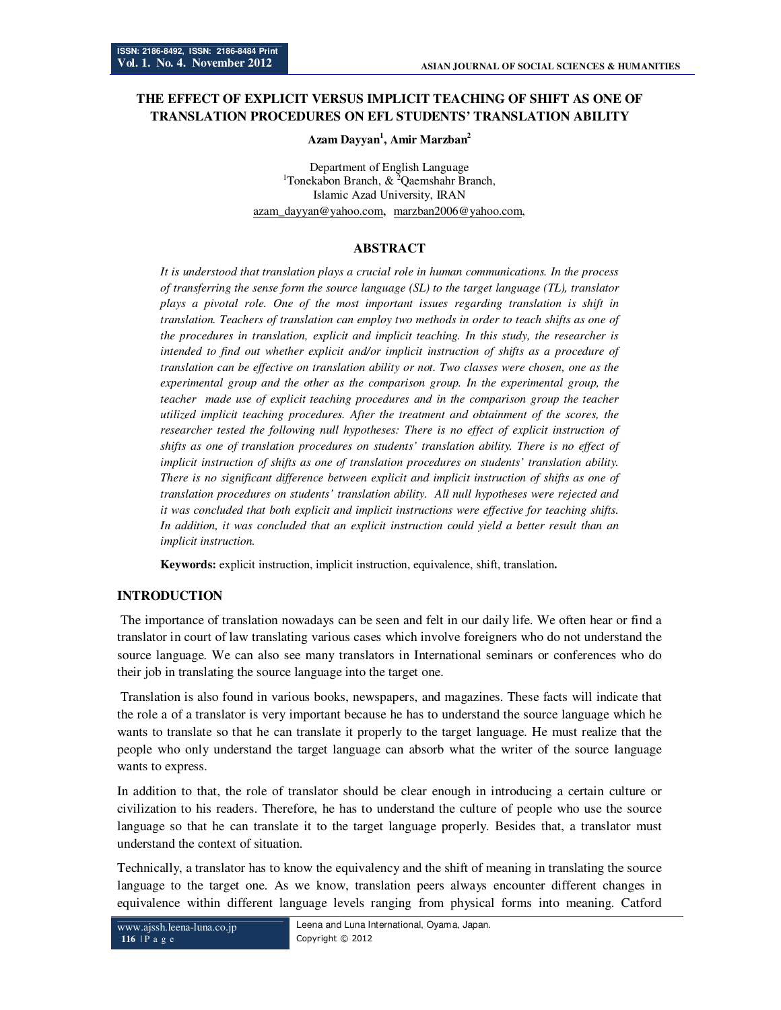# **THE EFFECT OF EXPLICIT VERSUS IMPLICIT TEACHING OF SHIFT AS ONE OF TRANSLATION PROCEDURES ON EFL STUDENTS' TRANSLATION ABILITY**

#### **Azam Dayyan<sup>1</sup> , Amir Marzban<sup>2</sup>**

Department of English Language <sup>1</sup>Tonekabon Branch,  $&^2$ Qaemshahr Branch, Islamic Azad University, IRAN azam\_dayyan@yahoo.com, marzban2006@yahoo.com,

## **ABSTRACT**

*It is understood that translation plays a crucial role in human communications. In the process of transferring the sense form the source language (SL) to the target language (TL), translator plays a pivotal role. One of the most important issues regarding translation is shift in translation. Teachers of translation can employ two methods in order to teach shifts as one of the procedures in translation, explicit and implicit teaching. In this study, the researcher is intended to find out whether explicit and/or implicit instruction of shifts as a procedure of translation can be effective on translation ability or not. Two classes were chosen, one as the experimental group and the other as the comparison group. In the experimental group, the teacher made use of explicit teaching procedures and in the comparison group the teacher utilized implicit teaching procedures. After the treatment and obtainment of the scores, the researcher tested the following null hypotheses: There is no effect of explicit instruction of shifts as one of translation procedures on students' translation ability. There is no effect of implicit instruction of shifts as one of translation procedures on students' translation ability. There is no significant difference between explicit and implicit instruction of shifts as one of translation procedures on students' translation ability. All null hypotheses were rejected and it was concluded that both explicit and implicit instructions were effective for teaching shifts.*  In addition, it was concluded that an explicit instruction could yield a better result than an *implicit instruction.* 

**Keywords:** explicit instruction, implicit instruction, equivalence, shift, translation**.** 

## **INTRODUCTION**

The importance of translation nowadays can be seen and felt in our daily life. We often hear or find a translator in court of law translating various cases which involve foreigners who do not understand the source language. We can also see many translators in International seminars or conferences who do their job in translating the source language into the target one.

 Translation is also found in various books, newspapers, and magazines. These facts will indicate that the role a of a translator is very important because he has to understand the source language which he wants to translate so that he can translate it properly to the target language. He must realize that the people who only understand the target language can absorb what the writer of the source language wants to express.

In addition to that, the role of translator should be clear enough in introducing a certain culture or civilization to his readers. Therefore, he has to understand the culture of people who use the source language so that he can translate it to the target language properly. Besides that, a translator must understand the context of situation.

Technically, a translator has to know the equivalency and the shift of meaning in translating the source language to the target one. As we know, translation peers always encounter different changes in equivalence within different language levels ranging from physical forms into meaning. Catford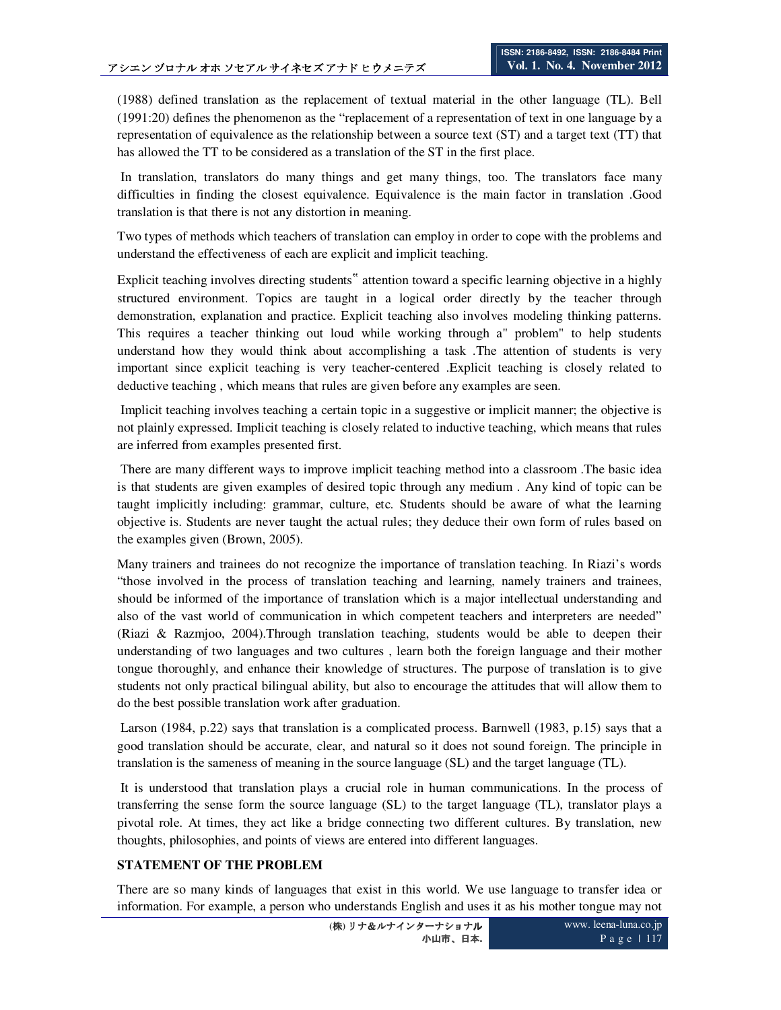(1988) defined translation as the replacement of textual material in the other language (TL). Bell (1991:20) defines the phenomenon as the "replacement of a representation of text in one language by a representation of equivalence as the relationship between a source text (ST) and a target text (TT) that has allowed the TT to be considered as a translation of the ST in the first place.

 In translation, translators do many things and get many things, too. The translators face many difficulties in finding the closest equivalence. Equivalence is the main factor in translation .Good translation is that there is not any distortion in meaning.

Two types of methods which teachers of translation can employ in order to cope with the problems and understand the effectiveness of each are explicit and implicit teaching.

Explicit teaching involves directing students" attention toward a specific learning objective in a highly structured environment. Topics are taught in a logical order directly by the teacher through demonstration, explanation and practice. Explicit teaching also involves modeling thinking patterns. This requires a teacher thinking out loud while working through a" problem" to help students understand how they would think about accomplishing a task .The attention of students is very important since explicit teaching is very teacher-centered .Explicit teaching is closely related to deductive teaching , which means that rules are given before any examples are seen.

 Implicit teaching involves teaching a certain topic in a suggestive or implicit manner; the objective is not plainly expressed. Implicit teaching is closely related to inductive teaching, which means that rules are inferred from examples presented first.

 There are many different ways to improve implicit teaching method into a classroom .The basic idea is that students are given examples of desired topic through any medium . Any kind of topic can be taught implicitly including: grammar, culture, etc. Students should be aware of what the learning objective is. Students are never taught the actual rules; they deduce their own form of rules based on the examples given (Brown, 2005).

Many trainers and trainees do not recognize the importance of translation teaching. In Riazi's words "those involved in the process of translation teaching and learning, namely trainers and trainees, should be informed of the importance of translation which is a major intellectual understanding and also of the vast world of communication in which competent teachers and interpreters are needed" (Riazi & Razmjoo, 2004).Through translation teaching, students would be able to deepen their understanding of two languages and two cultures , learn both the foreign language and their mother tongue thoroughly, and enhance their knowledge of structures. The purpose of translation is to give students not only practical bilingual ability, but also to encourage the attitudes that will allow them to do the best possible translation work after graduation.

 Larson (1984, p.22) says that translation is a complicated process. Barnwell (1983, p.15) says that a good translation should be accurate, clear, and natural so it does not sound foreign. The principle in translation is the sameness of meaning in the source language (SL) and the target language (TL).

 It is understood that translation plays a crucial role in human communications. In the process of transferring the sense form the source language (SL) to the target language (TL), translator plays a pivotal role. At times, they act like a bridge connecting two different cultures. By translation, new thoughts, philosophies, and points of views are entered into different languages.

#### **STATEMENT OF THE PROBLEM**

There are so many kinds of languages that exist in this world. We use language to transfer idea or information. For example, a person who understands English and uses it as his mother tongue may not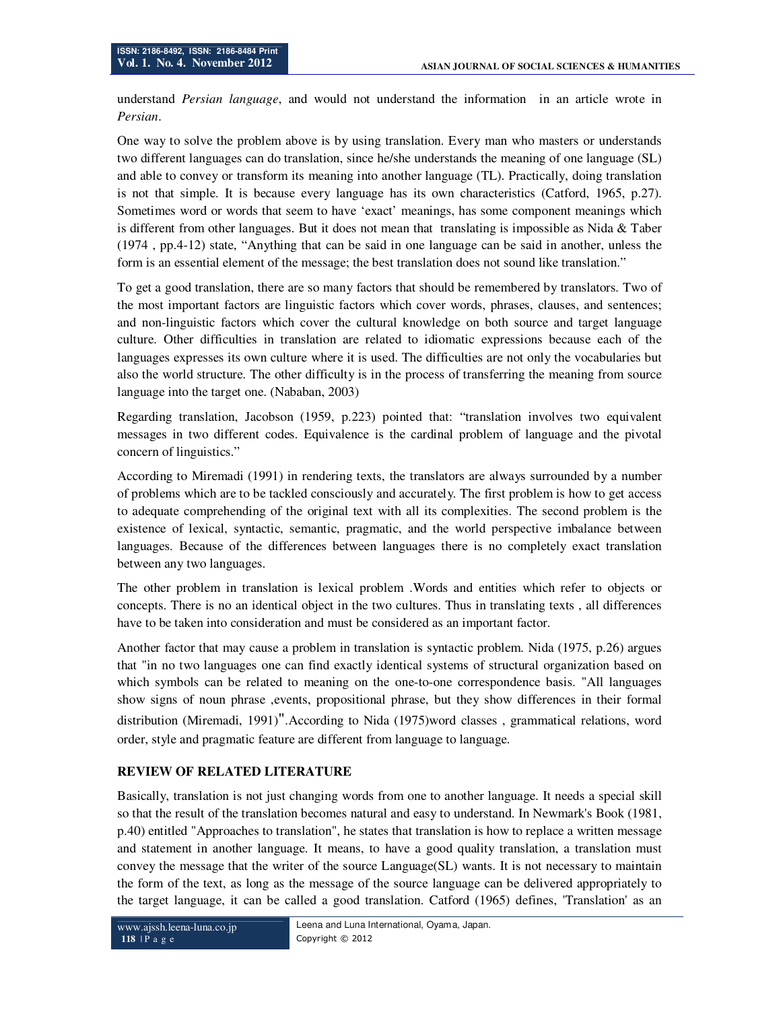understand *Persian language*, and would not understand the information in an article wrote in *Persian*.

One way to solve the problem above is by using translation. Every man who masters or understands two different languages can do translation, since he/she understands the meaning of one language (SL) and able to convey or transform its meaning into another language (TL). Practically, doing translation is not that simple. It is because every language has its own characteristics (Catford, 1965, p.27). Sometimes word or words that seem to have 'exact' meanings, has some component meanings which is different from other languages. But it does not mean that translating is impossible as Nida  $\&$  Taber (1974 , pp.4-12) state, "Anything that can be said in one language can be said in another, unless the form is an essential element of the message; the best translation does not sound like translation."

To get a good translation, there are so many factors that should be remembered by translators. Two of the most important factors are linguistic factors which cover words, phrases, clauses, and sentences; and non-linguistic factors which cover the cultural knowledge on both source and target language culture. Other difficulties in translation are related to idiomatic expressions because each of the languages expresses its own culture where it is used. The difficulties are not only the vocabularies but also the world structure. The other difficulty is in the process of transferring the meaning from source language into the target one. (Nababan, 2003)

Regarding translation, Jacobson (1959, p.223) pointed that: "translation involves two equivalent messages in two different codes. Equivalence is the cardinal problem of language and the pivotal concern of linguistics."

According to Miremadi (1991) in rendering texts, the translators are always surrounded by a number of problems which are to be tackled consciously and accurately. The first problem is how to get access to adequate comprehending of the original text with all its complexities. The second problem is the existence of lexical, syntactic, semantic, pragmatic, and the world perspective imbalance between languages. Because of the differences between languages there is no completely exact translation between any two languages.

The other problem in translation is lexical problem .Words and entities which refer to objects or concepts. There is no an identical object in the two cultures. Thus in translating texts , all differences have to be taken into consideration and must be considered as an important factor.

Another factor that may cause a problem in translation is syntactic problem. Nida (1975, p.26) argues that "in no two languages one can find exactly identical systems of structural organization based on which symbols can be related to meaning on the one-to-one correspondence basis. "All languages show signs of noun phrase ,events, propositional phrase, but they show differences in their formal distribution (Miremadi, 1991)".According to Nida (1975)word classes , grammatical relations, word order, style and pragmatic feature are different from language to language.

## **REVIEW OF RELATED LITERATURE**

Basically, translation is not just changing words from one to another language. It needs a special skill so that the result of the translation becomes natural and easy to understand. In Newmark's Book (1981, p.40) entitled "Approaches to translation", he states that translation is how to replace a written message and statement in another language. It means, to have a good quality translation, a translation must convey the message that the writer of the source Language(SL) wants. It is not necessary to maintain the form of the text, as long as the message of the source language can be delivered appropriately to the target language, it can be called a good translation. Catford (1965) defines, 'Translation' as an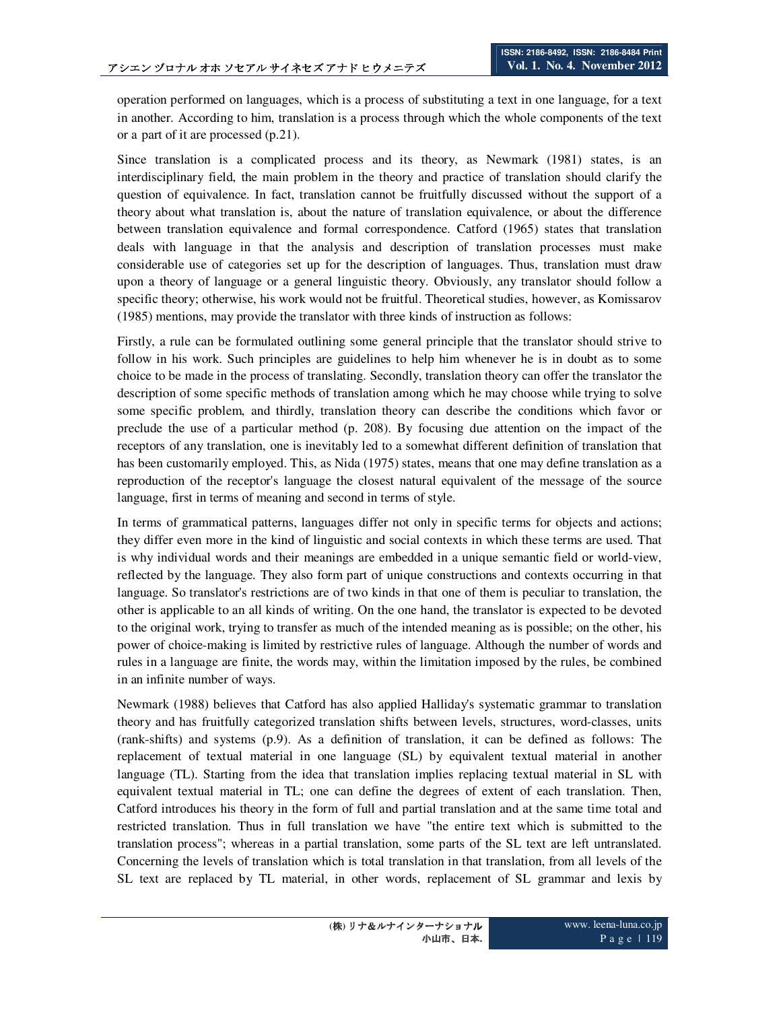operation performed on languages, which is a process of substituting a text in one language, for a text in another. According to him, translation is a process through which the whole components of the text or a part of it are processed (p.21).

Since translation is a complicated process and its theory, as Newmark (1981) states, is an interdisciplinary field, the main problem in the theory and practice of translation should clarify the question of equivalence. In fact, translation cannot be fruitfully discussed without the support of a theory about what translation is, about the nature of translation equivalence, or about the difference between translation equivalence and formal correspondence. Catford (1965) states that translation deals with language in that the analysis and description of translation processes must make considerable use of categories set up for the description of languages. Thus, translation must draw upon a theory of language or a general linguistic theory. Obviously, any translator should follow a specific theory; otherwise, his work would not be fruitful. Theoretical studies, however, as Komissarov (1985) mentions, may provide the translator with three kinds of instruction as follows:

Firstly, a rule can be formulated outlining some general principle that the translator should strive to follow in his work. Such principles are guidelines to help him whenever he is in doubt as to some choice to be made in the process of translating. Secondly, translation theory can offer the translator the description of some specific methods of translation among which he may choose while trying to solve some specific problem, and thirdly, translation theory can describe the conditions which favor or preclude the use of a particular method (p. 208). By focusing due attention on the impact of the receptors of any translation, one is inevitably led to a somewhat different definition of translation that has been customarily employed. This, as Nida (1975) states, means that one may define translation as a reproduction of the receptor's language the closest natural equivalent of the message of the source language, first in terms of meaning and second in terms of style.

In terms of grammatical patterns, languages differ not only in specific terms for objects and actions; they differ even more in the kind of linguistic and social contexts in which these terms are used. That is why individual words and their meanings are embedded in a unique semantic field or world-view, reflected by the language. They also form part of unique constructions and contexts occurring in that language. So translator's restrictions are of two kinds in that one of them is peculiar to translation, the other is applicable to an all kinds of writing. On the one hand, the translator is expected to be devoted to the original work, trying to transfer as much of the intended meaning as is possible; on the other, his power of choice-making is limited by restrictive rules of language. Although the number of words and rules in a language are finite, the words may, within the limitation imposed by the rules, be combined in an infinite number of ways.

Newmark (1988) believes that Catford has also applied Halliday's systematic grammar to translation theory and has fruitfully categorized translation shifts between levels, structures, word-classes, units (rank-shifts) and systems (p.9). As a definition of translation, it can be defined as follows: The replacement of textual material in one language (SL) by equivalent textual material in another language (TL). Starting from the idea that translation implies replacing textual material in SL with equivalent textual material in TL; one can define the degrees of extent of each translation. Then, Catford introduces his theory in the form of full and partial translation and at the same time total and restricted translation. Thus in full translation we have "the entire text which is submitted to the translation process"; whereas in a partial translation, some parts of the SL text are left untranslated. Concerning the levels of translation which is total translation in that translation, from all levels of the SL text are replaced by TL material, in other words, replacement of SL grammar and lexis by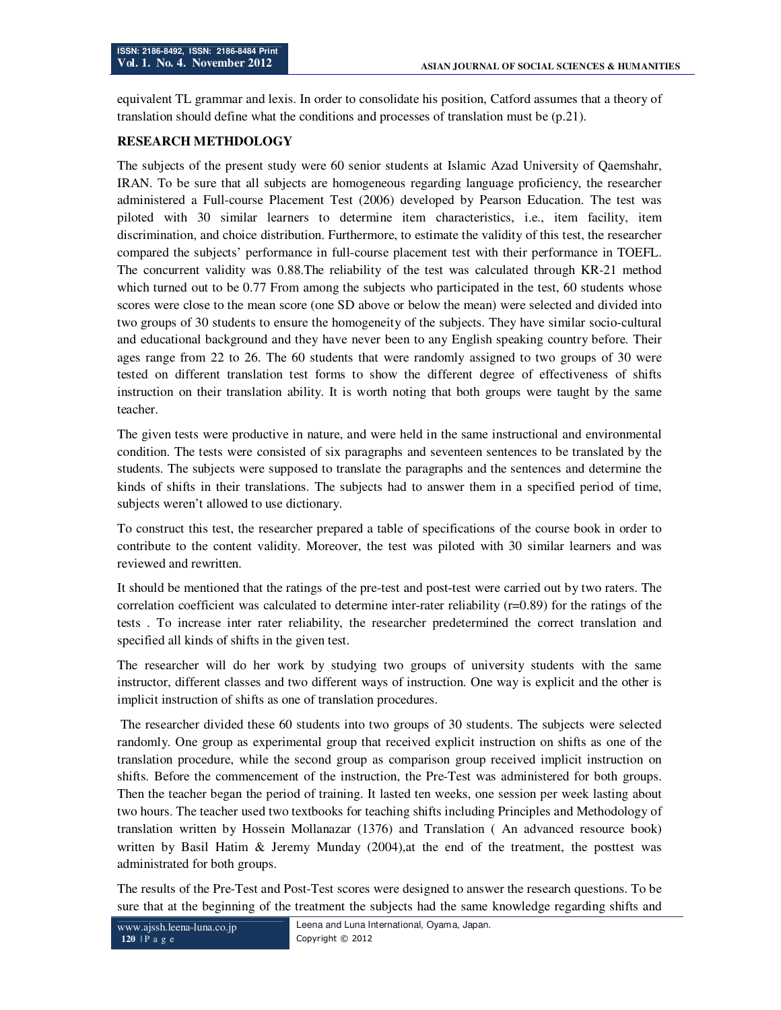equivalent TL grammar and lexis. In order to consolidate his position, Catford assumes that a theory of translation should define what the conditions and processes of translation must be (p.21).

#### **RESEARCH METHDOLOGY**

The subjects of the present study were 60 senior students at Islamic Azad University of Qaemshahr, IRAN. To be sure that all subjects are homogeneous regarding language proficiency, the researcher administered a Full-course Placement Test (2006) developed by Pearson Education. The test was piloted with 30 similar learners to determine item characteristics, i.e., item facility, item discrimination, and choice distribution. Furthermore, to estimate the validity of this test, the researcher compared the subjects' performance in full-course placement test with their performance in TOEFL. The concurrent validity was 0.88.The reliability of the test was calculated through KR-21 method which turned out to be 0.77 From among the subjects who participated in the test, 60 students whose scores were close to the mean score (one SD above or below the mean) were selected and divided into two groups of 30 students to ensure the homogeneity of the subjects. They have similar socio-cultural and educational background and they have never been to any English speaking country before. Their ages range from 22 to 26. The 60 students that were randomly assigned to two groups of 30 were tested on different translation test forms to show the different degree of effectiveness of shifts instruction on their translation ability. It is worth noting that both groups were taught by the same teacher.

The given tests were productive in nature, and were held in the same instructional and environmental condition. The tests were consisted of six paragraphs and seventeen sentences to be translated by the students. The subjects were supposed to translate the paragraphs and the sentences and determine the kinds of shifts in their translations. The subjects had to answer them in a specified period of time, subjects weren't allowed to use dictionary.

To construct this test, the researcher prepared a table of specifications of the course book in order to contribute to the content validity. Moreover, the test was piloted with 30 similar learners and was reviewed and rewritten.

It should be mentioned that the ratings of the pre-test and post-test were carried out by two raters. The correlation coefficient was calculated to determine inter-rater reliability  $(r=0.89)$  for the ratings of the tests . To increase inter rater reliability, the researcher predetermined the correct translation and specified all kinds of shifts in the given test.

The researcher will do her work by studying two groups of university students with the same instructor, different classes and two different ways of instruction. One way is explicit and the other is implicit instruction of shifts as one of translation procedures.

 The researcher divided these 60 students into two groups of 30 students. The subjects were selected randomly. One group as experimental group that received explicit instruction on shifts as one of the translation procedure, while the second group as comparison group received implicit instruction on shifts. Before the commencement of the instruction, the Pre-Test was administered for both groups. Then the teacher began the period of training. It lasted ten weeks, one session per week lasting about two hours. The teacher used two textbooks for teaching shifts including Principles and Methodology of translation written by Hossein Mollanazar (1376) and Translation ( An advanced resource book) written by Basil Hatim & Jeremy Munday (2004),at the end of the treatment, the posttest was administrated for both groups.

The results of the Pre-Test and Post-Test scores were designed to answer the research questions. To be sure that at the beginning of the treatment the subjects had the same knowledge regarding shifts and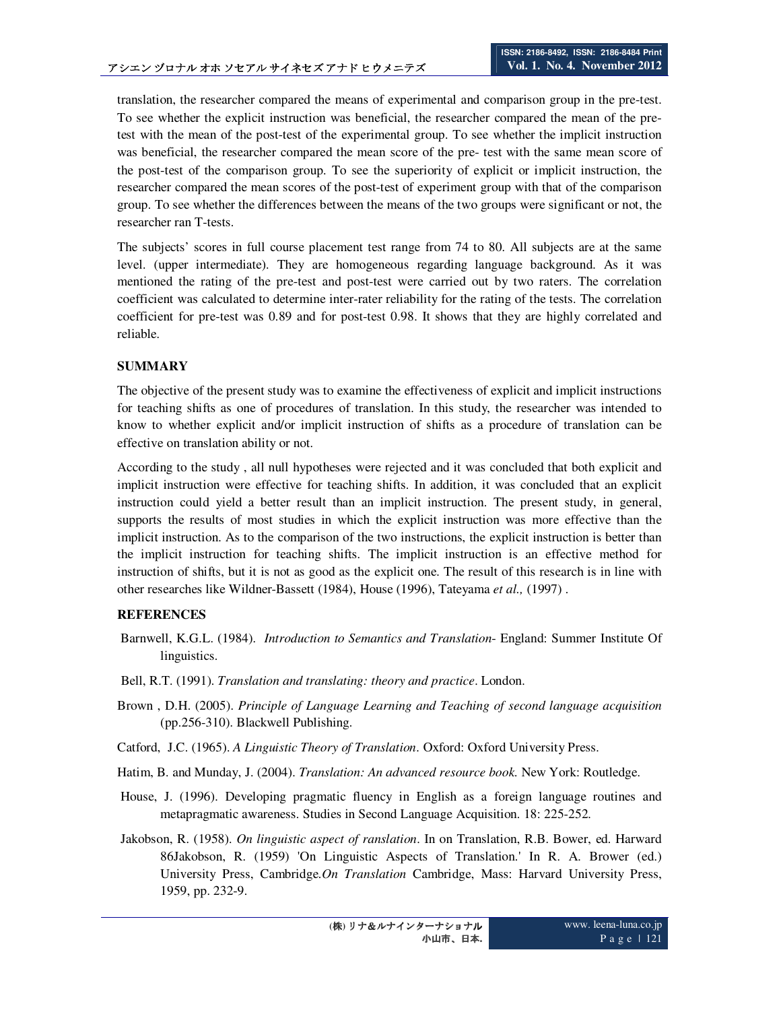translation, the researcher compared the means of experimental and comparison group in the pre-test. To see whether the explicit instruction was beneficial, the researcher compared the mean of the pretest with the mean of the post-test of the experimental group. To see whether the implicit instruction was beneficial, the researcher compared the mean score of the pre- test with the same mean score of the post-test of the comparison group. To see the superiority of explicit or implicit instruction, the researcher compared the mean scores of the post-test of experiment group with that of the comparison group. To see whether the differences between the means of the two groups were significant or not, the researcher ran T-tests.

The subjects' scores in full course placement test range from 74 to 80. All subjects are at the same level. (upper intermediate). They are homogeneous regarding language background. As it was mentioned the rating of the pre-test and post-test were carried out by two raters. The correlation coefficient was calculated to determine inter-rater reliability for the rating of the tests. The correlation coefficient for pre-test was 0.89 and for post-test 0.98. It shows that they are highly correlated and reliable.

## **SUMMARY**

The objective of the present study was to examine the effectiveness of explicit and implicit instructions for teaching shifts as one of procedures of translation. In this study, the researcher was intended to know to whether explicit and/or implicit instruction of shifts as a procedure of translation can be effective on translation ability or not.

According to the study , all null hypotheses were rejected and it was concluded that both explicit and implicit instruction were effective for teaching shifts. In addition, it was concluded that an explicit instruction could yield a better result than an implicit instruction. The present study, in general, supports the results of most studies in which the explicit instruction was more effective than the implicit instruction. As to the comparison of the two instructions, the explicit instruction is better than the implicit instruction for teaching shifts. The implicit instruction is an effective method for instruction of shifts, but it is not as good as the explicit one. The result of this research is in line with other researches like Wildner-Bassett (1984), House (1996), Tateyama *et al.,* (1997) .

## **REFERENCES**

- Barnwell, K.G.L. (1984). *Introduction to Semantics and Translation* England: Summer Institute Of linguistics.
- Bell, R.T. (1991). *Translation and translating: theory and practice*. London.
- Brown , D.H. (2005). *Principle of Language Learning and Teaching of second language acquisition*  (pp.256-310). Blackwell Publishing.
- Catford, J.C. (1965). *A Linguistic Theory of Translation*. Oxford: Oxford University Press.
- Hatim, B. and Munday, J. (2004). *Translation: An advanced resource book.* New York: Routledge.
- House, J. (1996). Developing pragmatic fluency in English as a foreign language routines and metapragmatic awareness. Studies in Second Language Acquisition. 18: 225-252.
- Jakobson, R. (1958). *On linguistic aspect of ranslation*. In on Translation, R.B. Bower, ed. Harward 86Jakobson, R. (1959) 'On Linguistic Aspects of Translation.' In R. A. Brower (ed.) University Press, Cambridge.*On Translation* Cambridge, Mass: Harvard University Press, 1959, pp. 232-9.